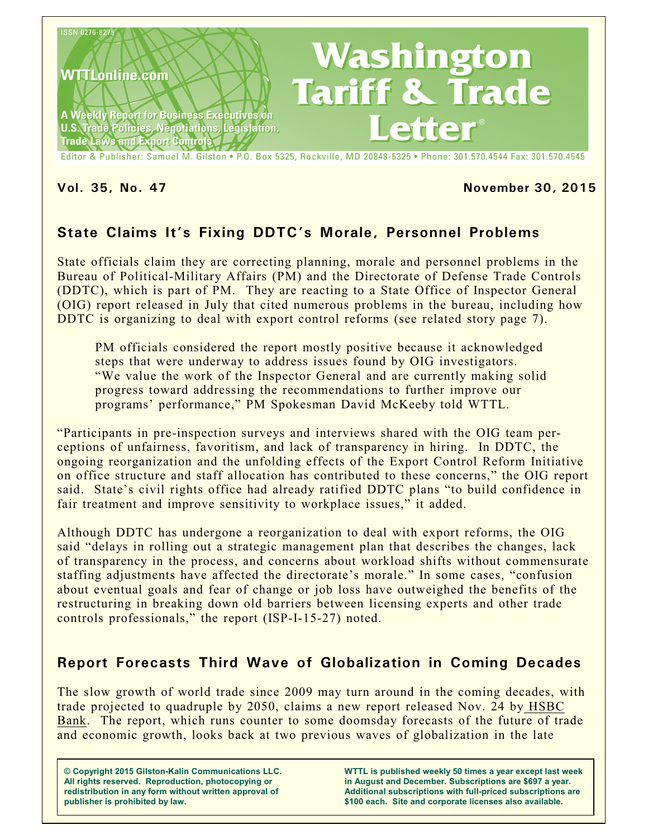

Editor & Publisher: Samuel M. Gilston . P.O. Box 5325, Rockville, MD 20848-5325 . Phone: 301.570.4544 Fax: 301.570.4545

## **Vol. 35, No. 47 November 30, 2015**

# **State Claims It's Fixing DDTC's Morale, Personnel Problems**

State officials claim they are correcting planning, morale and personnel problems in the Bureau of Political-Military Affairs (PM) and the Directorate of Defense Trade Controls (DDTC), which is part of PM. They are reacting to a State Office of Inspector General (OIG) report released in July that cited numerous problems in the bureau, including how DDTC is organizing to deal with export control reforms (see related story page 7).

PM officials considered the report mostly positive because it acknowledged steps that were underway to address issues found by OIG investigators. "We value the work of the Inspector General and are currently making solid progress toward addressing the recommendations to further improve our programs' performance," PM Spokesman David McKeeby told WTTL.

"Participants in pre-inspection surveys and interviews shared with the OIG team perceptions of unfairness, favoritism, and lack of transparency in hiring. In DDTC, the ongoing reorganization and the unfolding effects of the Export Control Reform Initiative on office structure and staff allocation has contributed to these concerns," the OIG report said. State's civil rights office had already ratified DDTC plans "to build confidence in fair treatment and improve sensitivity to workplace issues," it added.

Although DDTC has undergone a reorganization to deal with export reforms, the OIG said "delays in rolling out a strategic management plan that describes the changes, lack of transparency in the process, and concerns about workload shifts without commensurate staffing adjustments have affected the directorate's morale." In some cases, "confusion about eventual goals and fear of change or job loss have outweighed the benefits of the restructuring in breaking down old barriers between licensing experts and other trade controls professionals," the report (ISP-I-15-27) noted.

# **Report Forecasts Third Wave of Globalization in Coming Decades**

The slow growth of world trade since 2009 may turn around in the coming decades, with trade projected to quadruple by 2050, claims a new report released Nov. 24 by HSBC Bank. The report, which runs counter to some doomsday forecasts of the future of trade and economic growth, looks back at two previous waves of globalization in the late

**© Copyright 2015 Gilston-Kalin Communications LLC. All rights reserved. Reproduction, photocopying or redistribution in any form without written approval of publisher is prohibited by law.** 

**WTTL is published weekly 50 times a year except last week in August and December. Subscriptions are \$697 a year. Additional subscriptions with full-priced subscriptions are \$100 each. Site and corporate licenses also available.**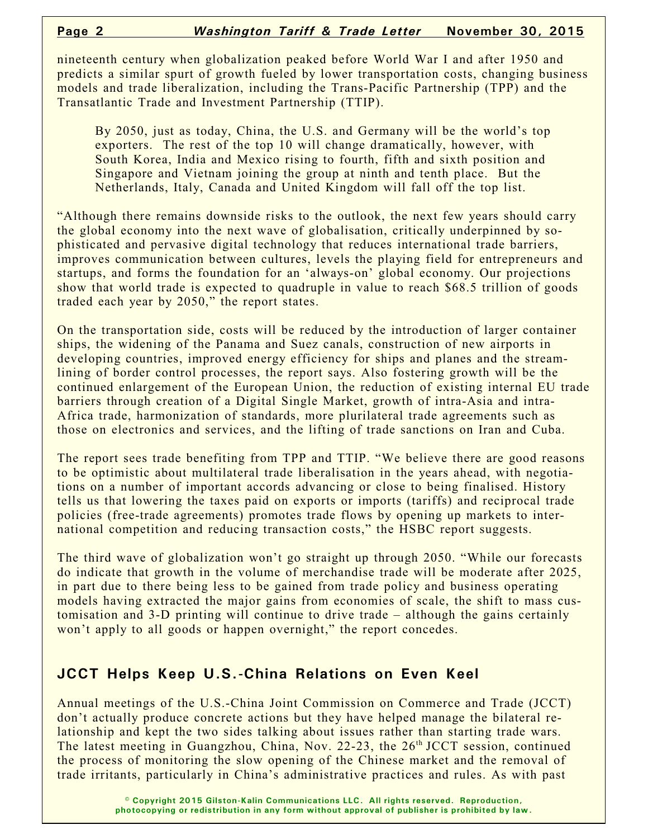nineteenth century when globalization peaked before World War I and after 1950 and predicts a similar spurt of growth fueled by lower transportation costs, changing business models and trade liberalization, including the Trans-Pacific Partnership (TPP) and the Transatlantic Trade and Investment Partnership (TTIP).

By 2050, just as today, China, the U.S. and Germany will be the world's top exporters. The rest of the top 10 will change dramatically, however, with South Korea, India and Mexico rising to fourth, fifth and sixth position and Singapore and Vietnam joining the group at ninth and tenth place. But the Netherlands, Italy, Canada and United Kingdom will fall off the top list.

"Although there remains downside risks to the outlook, the next few years should carry the global economy into the next wave of globalisation, critically underpinned by sophisticated and pervasive digital technology that reduces international trade barriers, improves communication between cultures, levels the playing field for entrepreneurs and startups, and forms the foundation for an 'always-on' global economy. Our projections show that world trade is expected to quadruple in value to reach \$68.5 trillion of goods traded each year by 2050," the report states.

On the transportation side, costs will be reduced by the introduction of larger container ships, the widening of the Panama and Suez canals, construction of new airports in developing countries, improved energy efficiency for ships and planes and the streamlining of border control processes, the report says. Also fostering growth will be the continued enlargement of the European Union, the reduction of existing internal EU trade barriers through creation of a Digital Single Market, growth of intra-Asia and intra-Africa trade, harmonization of standards, more plurilateral trade agreements such as those on electronics and services, and the lifting of trade sanctions on Iran and Cuba.

The report sees trade benefiting from TPP and TTIP. "We believe there are good reasons to be optimistic about multilateral trade liberalisation in the years ahead, with negotiations on a number of important accords advancing or close to being finalised. History tells us that lowering the taxes paid on exports or imports (tariffs) and reciprocal trade policies (free-trade agreements) promotes trade flows by opening up markets to international competition and reducing transaction costs," the HSBC report suggests.

The third wave of globalization won't go straight up through 2050. "While our forecasts do indicate that growth in the volume of merchandise trade will be moderate after 2025, in part due to there being less to be gained from trade policy and business operating models having extracted the major gains from economies of scale, the shift to mass customisation and 3-D printing will continue to drive trade – although the gains certainly won't apply to all goods or happen overnight," the report concedes.

# **JCCT Helps Keep U.S.-China Relations on Even Keel**

Annual meetings of the U.S.-China Joint Commission on Commerce and Trade (JCCT) don't actually produce concrete actions but they have helped manage the bilateral relationship and kept the two sides talking about issues rather than starting trade wars. The latest meeting in Guangzhou, China, Nov. 22-23, the  $26<sup>th</sup> JCCT$  session, continued the process of monitoring the slow opening of the Chinese market and the removal of trade irritants, particularly in China's administrative practices and rules. As with past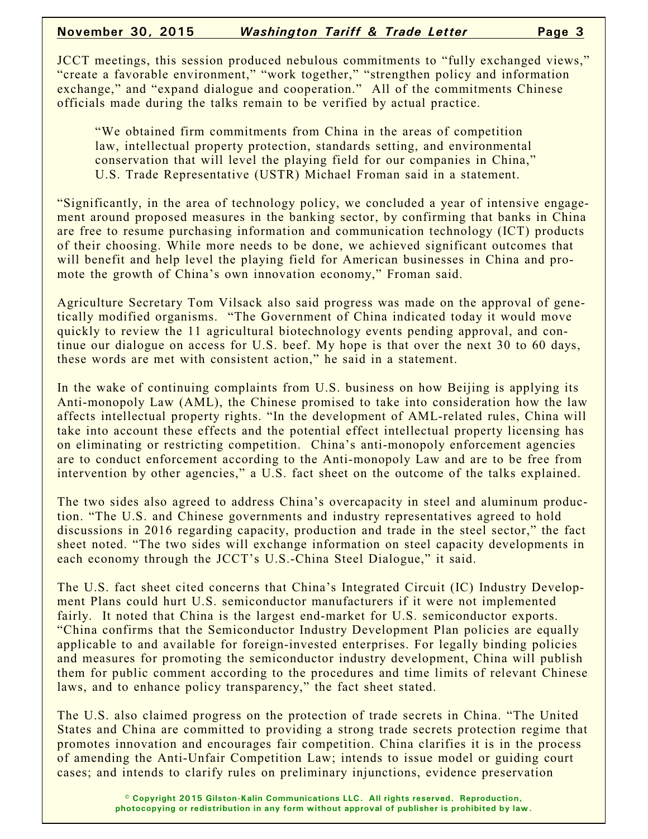JCCT meetings, this session produced nebulous commitments to "fully exchanged views," "create a favorable environment," "work together," "strengthen policy and information exchange," and "expand dialogue and cooperation." All of the commitments Chinese officials made during the talks remain to be verified by actual practice.

"We obtained firm commitments from China in the areas of competition law, intellectual property protection, standards setting, and environmental conservation that will level the playing field for our companies in China," U.S. Trade Representative (USTR) Michael Froman said in a statement.

"Significantly, in the area of technology policy, we concluded a year of intensive engagement around proposed measures in the banking sector, by confirming that banks in China are free to resume purchasing information and communication technology (ICT) products of their choosing. While more needs to be done, we achieved significant outcomes that will benefit and help level the playing field for American businesses in China and promote the growth of China's own innovation economy," Froman said.

Agriculture Secretary Tom Vilsack also said progress was made on the approval of genetically modified organisms. "The Government of China indicated today it would move quickly to review the 11 agricultural biotechnology events pending approval, and continue our dialogue on access for U.S. beef. My hope is that over the next 30 to 60 days, these words are met with consistent action," he said in a statement.

In the wake of continuing complaints from U.S. business on how Beijing is applying its Anti-monopoly Law (AML), the Chinese promised to take into consideration how the law affects intellectual property rights. "In the development of AML-related rules, China will take into account these effects and the potential effect intellectual property licensing has on eliminating or restricting competition. China's anti-monopoly enforcement agencies are to conduct enforcement according to the Anti-monopoly Law and are to be free from intervention by other agencies," a U.S. fact sheet on the outcome of the talks explained.

The two sides also agreed to address China's overcapacity in steel and aluminum production. "The U.S. and Chinese governments and industry representatives agreed to hold discussions in 2016 regarding capacity, production and trade in the steel sector," the fact sheet noted. "The two sides will exchange information on steel capacity developments in each economy through the JCCT's U.S.-China Steel Dialogue," it said.

The U.S. fact sheet cited concerns that China's Integrated Circuit (IC) Industry Development Plans could hurt U.S. semiconductor manufacturers if it were not implemented fairly. It noted that China is the largest end-market for U.S. semiconductor exports. "China confirms that the Semiconductor Industry Development Plan policies are equally applicable to and available for foreign-invested enterprises. For legally binding policies and measures for promoting the semiconductor industry development, China will publish them for public comment according to the procedures and time limits of relevant Chinese laws, and to enhance policy transparency," the fact sheet stated.

The U.S. also claimed progress on the protection of trade secrets in China. "The United States and China are committed to providing a strong trade secrets protection regime that promotes innovation and encourages fair competition. China clarifies it is in the process of amending the Anti-Unfair Competition Law; intends to issue model or guiding court cases; and intends to clarify rules on preliminary injunctions, evidence preservation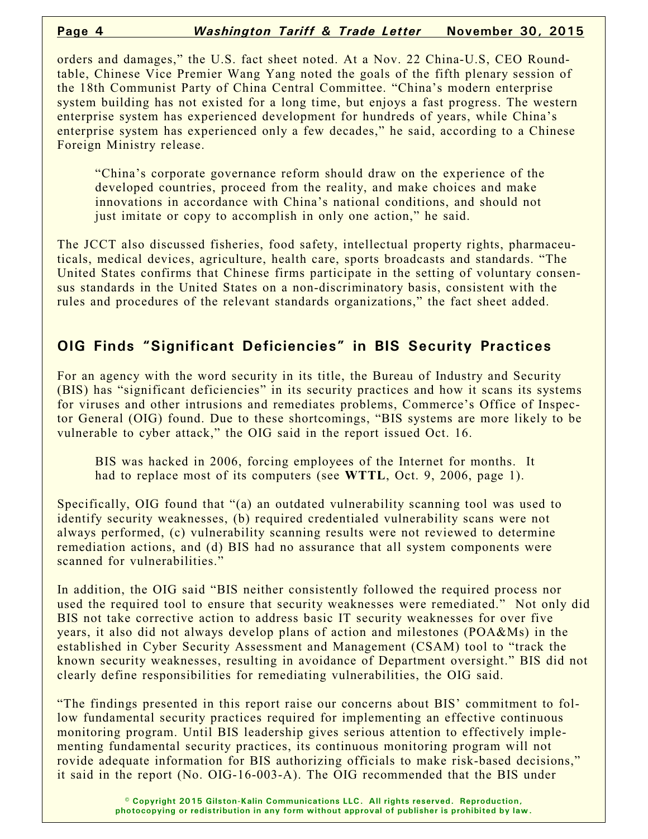orders and damages," the U.S. fact sheet noted. At a Nov. 22 China-U.S, CEO Roundtable, Chinese Vice Premier Wang Yang noted the goals of the fifth plenary session of the 18th Communist Party of China Central Committee. "China's modern enterprise system building has not existed for a long time, but enjoys a fast progress. The western enterprise system has experienced development for hundreds of years, while China's enterprise system has experienced only a few decades," he said, according to a Chinese Foreign Ministry release.

"China's corporate governance reform should draw on the experience of the developed countries, proceed from the reality, and make choices and make innovations in accordance with China's national conditions, and should not just imitate or copy to accomplish in only one action," he said.

The JCCT also discussed fisheries, food safety, intellectual property rights, pharmaceuticals, medical devices, agriculture, health care, sports broadcasts and standards. "The United States confirms that Chinese firms participate in the setting of voluntary consensus standards in the United States on a non-discriminatory basis, consistent with the rules and procedures of the relevant standards organizations," the fact sheet added.

# **OIG Finds "Significant Deficiencies" in BIS Security Practices**

For an agency with the word security in its title, the Bureau of Industry and Security (BIS) has "significant deficiencies" in its security practices and how it scans its systems for viruses and other intrusions and remediates problems, Commerce's Office of Inspector General (OIG) found. Due to these shortcomings, "BIS systems are more likely to be vulnerable to cyber attack," the OIG said in the report issued Oct. 16.

BIS was hacked in 2006, forcing employees of the Internet for months. It had to replace most of its computers (see **WTTL**, Oct. 9, 2006, page 1).

Specifically, OIG found that "(a) an outdated vulnerability scanning tool was used to identify security weaknesses, (b) required credentialed vulnerability scans were not always performed, (c) vulnerability scanning results were not reviewed to determine remediation actions, and (d) BIS had no assurance that all system components were scanned for vulnerabilities."

In addition, the OIG said "BIS neither consistently followed the required process nor used the required tool to ensure that security weaknesses were remediated." Not only did BIS not take corrective action to address basic IT security weaknesses for over five years, it also did not always develop plans of action and milestones (POA&Ms) in the established in Cyber Security Assessment and Management (CSAM) tool to "track the known security weaknesses, resulting in avoidance of Department oversight." BIS did not clearly define responsibilities for remediating vulnerabilities, the OIG said.

"The findings presented in this report raise our concerns about BIS' commitment to follow fundamental security practices required for implementing an effective continuous monitoring program. Until BIS leadership gives serious attention to effectively implementing fundamental security practices, its continuous monitoring program will not rovide adequate information for BIS authorizing officials to make risk-based decisions," it said in the report (No. OIG-16-003-A). The OIG recommended that the BIS under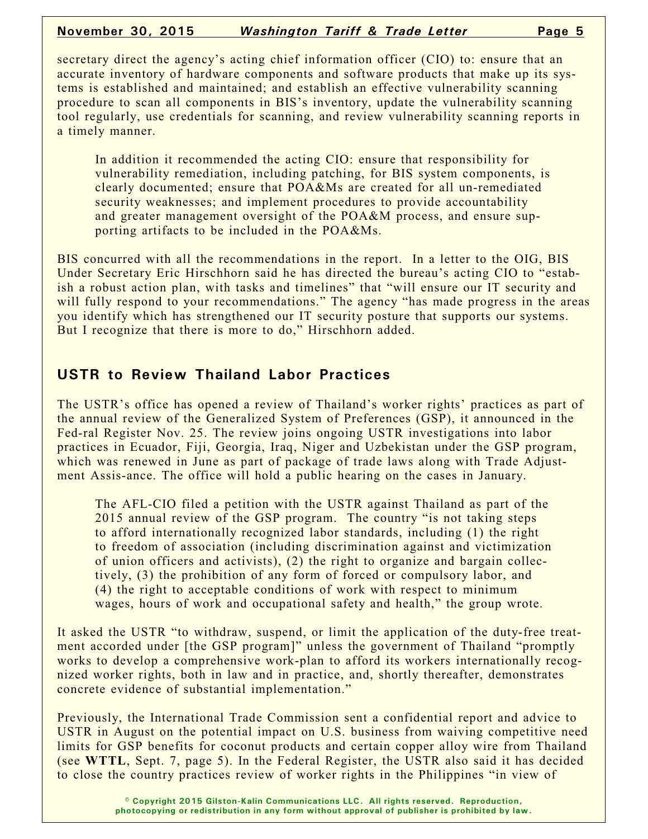### **November 30, 2015** *Washington Tariff & Trade Letter* **Page 5**

secretary direct the agency's acting chief information officer (CIO) to: ensure that an accurate inventory of hardware components and software products that make up its systems is established and maintained; and establish an effective vulnerability scanning procedure to scan all components in BIS's inventory, update the vulnerability scanning tool regularly, use credentials for scanning, and review vulnerability scanning reports in a timely manner.

In addition it recommended the acting CIO: ensure that responsibility for vulnerability remediation, including patching, for BIS system components, is clearly documented; ensure that POA&Ms are created for all un-remediated security weaknesses; and implement procedures to provide accountability and greater management oversight of the POA&M process, and ensure supporting artifacts to be included in the POA&Ms.

BIS concurred with all the recommendations in the report. In a letter to the OIG, BIS Under Secretary Eric Hirschhorn said he has directed the bureau's acting CIO to "estabish a robust action plan, with tasks and timelines" that "will ensure our IT security and will fully respond to your recommendations." The agency "has made progress in the areas you identify which has strengthened our IT security posture that supports our systems. But I recognize that there is more to do," Hirschhorn added.

## **USTR to Review Thailand Labor Practices**

The USTR's office has opened a review of Thailand's worker rights' practices as part of the annual review of the Generalized System of Preferences (GSP), it announced in the Fed-ral Register Nov. 25. The review joins ongoing USTR investigations into labor practices in Ecuador, Fiji, Georgia, Iraq, Niger and Uzbekistan under the GSP program, which was renewed in June as part of package of trade laws along with Trade Adjustment Assis-ance. The office will hold a public hearing on the cases in January.

The AFL-CIO filed a petition with the USTR against Thailand as part of the 2015 annual review of the GSP program. The country "is not taking steps to afford internationally recognized labor standards, including (1) the right to freedom of association (including discrimination against and victimization of union officers and activists), (2) the right to organize and bargain collectively, (3) the prohibition of any form of forced or compulsory labor, and (4) the right to acceptable conditions of work with respect to minimum wages, hours of work and occupational safety and health," the group wrote.

It asked the USTR "to withdraw, suspend, or limit the application of the duty-free treatment accorded under [the GSP program]" unless the government of Thailand "promptly works to develop a comprehensive work-plan to afford its workers internationally recognized worker rights, both in law and in practice, and, shortly thereafter, demonstrates concrete evidence of substantial implementation."

Previously, the International Trade Commission sent a confidential report and advice to USTR in August on the potential impact on U.S. business from waiving competitive need limits for GSP benefits for coconut products and certain copper alloy wire from Thailand (see **WTTL**, Sept. 7, page 5). In the Federal Register, the USTR also said it has decided to close the country practices review of worker rights in the Philippines "in view of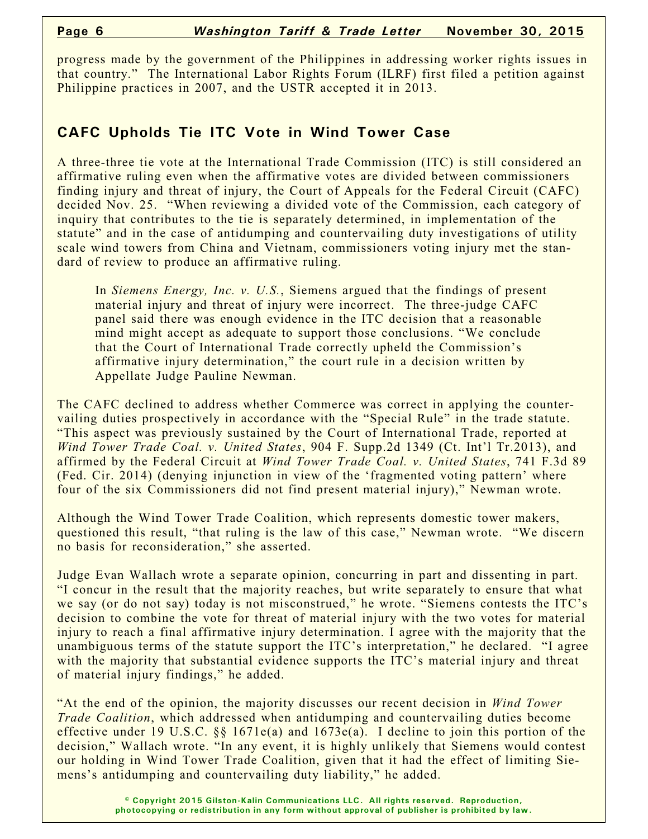progress made by the government of the Philippines in addressing worker rights issues in that country." The International Labor Rights Forum (ILRF) first filed a petition against Philippine practices in 2007, and the USTR accepted it in 2013.

# **CAFC Upholds Tie ITC Vote in Wind Tower Case**

A three-three tie vote at the International Trade Commission (ITC) is still considered an affirmative ruling even when the affirmative votes are divided between commissioners finding injury and threat of injury, the Court of Appeals for the Federal Circuit (CAFC) decided Nov. 25. "When reviewing a divided vote of the Commission, each category of inquiry that contributes to the tie is separately determined, in implementation of the statute" and in the case of antidumping and countervailing duty investigations of utility scale wind towers from China and Vietnam, commissioners voting injury met the standard of review to produce an affirmative ruling.

In *Siemens Energy, Inc. v. U.S.*, Siemens argued that the findings of present material injury and threat of injury were incorrect. The three-judge CAFC panel said there was enough evidence in the ITC decision that a reasonable mind might accept as adequate to support those conclusions. "We conclude that the Court of International Trade correctly upheld the Commission's affirmative injury determination," the court rule in a decision written by Appellate Judge Pauline Newman.

The CAFC declined to address whether Commerce was correct in applying the countervailing duties prospectively in accordance with the "Special Rule" in the trade statute. "This aspect was previously sustained by the Court of International Trade, reported at *Wind Tower Trade Coal. v. United States*, 904 F. Supp.2d 1349 (Ct. Int'l Tr.2013), and affirmed by the Federal Circuit at *Wind Tower Trade Coal. v. United States*, 741 F.3d 89 (Fed. Cir. 2014) (denying injunction in view of the 'fragmented voting pattern' where four of the six Commissioners did not find present material injury)," Newman wrote.

Although the Wind Tower Trade Coalition, which represents domestic tower makers, questioned this result, "that ruling is the law of this case," Newman wrote. "We discern no basis for reconsideration," she asserted.

Judge Evan Wallach wrote a separate opinion, concurring in part and dissenting in part. "I concur in the result that the majority reaches, but write separately to ensure that what we say (or do not say) today is not misconstrued," he wrote. "Siemens contests the ITC's decision to combine the vote for threat of material injury with the two votes for material injury to reach a final affirmative injury determination. I agree with the majority that the unambiguous terms of the statute support the ITC's interpretation," he declared. "I agree with the majority that substantial evidence supports the ITC's material injury and threat of material injury findings," he added.

"At the end of the opinion, the majority discusses our recent decision in *Wind Tower Trade Coalition*, which addressed when antidumping and countervailing duties become effective under 19 U.S.C. §§ 1671e(a) and 1673e(a). I decline to join this portion of the decision," Wallach wrote. "In any event, it is highly unlikely that Siemens would contest our holding in Wind Tower Trade Coalition, given that it had the effect of limiting Siemens's antidumping and countervailing duty liability," he added.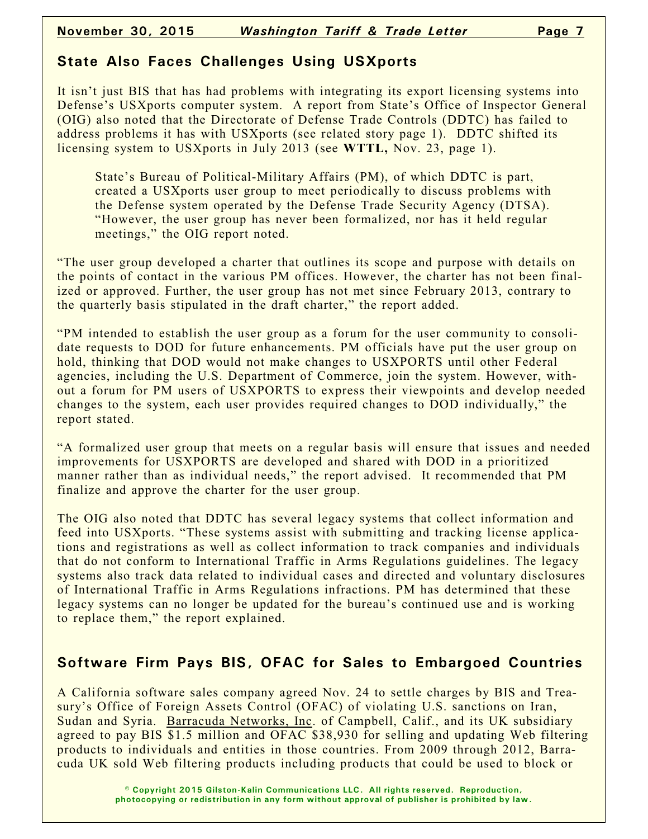# **State Also Faces Challenges Using USXports**

It isn't just BIS that has had problems with integrating its export licensing systems into Defense's USXports computer system. A report from State's Office of Inspector General (OIG) also noted that the Directorate of Defense Trade Controls (DDTC) has failed to address problems it has with USXports (see related story page 1). DDTC shifted its licensing system to USXports in July 2013 (see **WTTL,** Nov. 23, page 1).

State's Bureau of Political-Military Affairs (PM), of which DDTC is part, created a USXports user group to meet periodically to discuss problems with the Defense system operated by the Defense Trade Security Agency (DTSA). "However, the user group has never been formalized, nor has it held regular meetings," the OIG report noted.

"The user group developed a charter that outlines its scope and purpose with details on the points of contact in the various PM offices. However, the charter has not been finalized or approved. Further, the user group has not met since February 2013, contrary to the quarterly basis stipulated in the draft charter," the report added.

"PM intended to establish the user group as a forum for the user community to consolidate requests to DOD for future enhancements. PM officials have put the user group on hold, thinking that DOD would not make changes to USXPORTS until other Federal agencies, including the U.S. Department of Commerce, join the system. However, without a forum for PM users of USXPORTS to express their viewpoints and develop needed changes to the system, each user provides required changes to DOD individually," the report stated.

"A formalized user group that meets on a regular basis will ensure that issues and needed improvements for USXPORTS are developed and shared with DOD in a prioritized manner rather than as individual needs," the report advised. It recommended that PM finalize and approve the charter for the user group.

The OIG also noted that DDTC has several legacy systems that collect information and feed into USXports. "These systems assist with submitting and tracking license applications and registrations as well as collect information to track companies and individuals that do not conform to International Traffic in Arms Regulations guidelines. The legacy systems also track data related to individual cases and directed and voluntary disclosures of International Traffic in Arms Regulations infractions. PM has determined that these legacy systems can no longer be updated for the bureau's continued use and is working to replace them," the report explained.

# **Software Firm Pays BIS, OFAC for Sales to Embargoed Countries**

A California software sales company agreed Nov. 24 to settle charges by BIS and Treasury's Office of Foreign Assets Control (OFAC) of violating U.S. sanctions on Iran, Sudan and Syria. Barracuda Networks, Inc. of Campbell, Calif., and its UK subsidiary agreed to pay BIS \$1.5 million and OFAC \$38,930 for selling and updating Web filtering products to individuals and entities in those countries. From 2009 through 2012, Barracuda UK sold Web filtering products including products that could be used to block or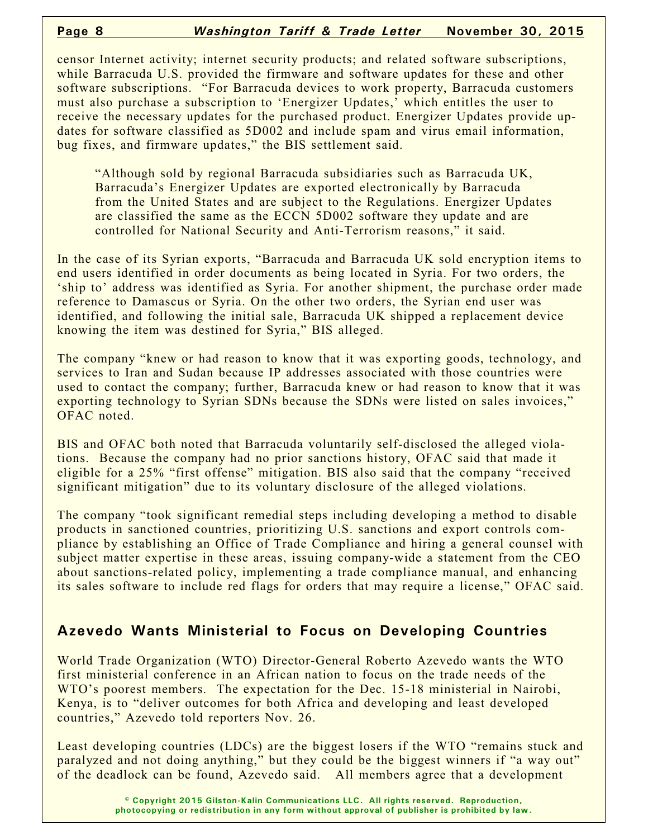censor Internet activity; internet security products; and related software subscriptions, while Barracuda U.S. provided the firmware and software updates for these and other software subscriptions. "For Barracuda devices to work property, Barracuda customers must also purchase a subscription to 'Energizer Updates,' which entitles the user to receive the necessary updates for the purchased product. Energizer Updates provide updates for software classified as 5D002 and include spam and virus email information, bug fixes, and firmware updates," the BIS settlement said.

"Although sold by regional Barracuda subsidiaries such as Barracuda UK, Barracuda's Energizer Updates are exported electronically by Barracuda from the United States and are subject to the Regulations. Energizer Updates are classified the same as the ECCN 5D002 software they update and are controlled for National Security and Anti-Terrorism reasons," it said.

In the case of its Syrian exports, "Barracuda and Barracuda UK sold encryption items to end users identified in order documents as being located in Syria. For two orders, the 'ship to' address was identified as Syria. For another shipment, the purchase order made reference to Damascus or Syria. On the other two orders, the Syrian end user was identified, and following the initial sale, Barracuda UK shipped a replacement device knowing the item was destined for Syria," BIS alleged.

The company "knew or had reason to know that it was exporting goods, technology, and services to Iran and Sudan because IP addresses associated with those countries were used to contact the company; further, Barracuda knew or had reason to know that it was exporting technology to Syrian SDNs because the SDNs were listed on sales invoices," OFAC noted.

BIS and OFAC both noted that Barracuda voluntarily self-disclosed the alleged violations. Because the company had no prior sanctions history, OFAC said that made it eligible for a 25% "first offense" mitigation. BIS also said that the company "received significant mitigation" due to its voluntary disclosure of the alleged violations.

The company "took significant remedial steps including developing a method to disable products in sanctioned countries, prioritizing U.S. sanctions and export controls compliance by establishing an Office of Trade Compliance and hiring a general counsel with subject matter expertise in these areas, issuing company-wide a statement from the CEO about sanctions-related policy, implementing a trade compliance manual, and enhancing its sales software to include red flags for orders that may require a license," OFAC said.

# **Azevedo Wants Ministerial to Focus on Developing Countries**

World Trade Organization (WTO) Director-General Roberto Azevedo wants the WTO first ministerial conference in an African nation to focus on the trade needs of the WTO's poorest members. The expectation for the Dec. 15-18 ministerial in Nairobi, Kenya, is to "deliver outcomes for both Africa and developing and least developed countries," Azevedo told reporters Nov. 26.

Least developing countries (LDCs) are the biggest losers if the WTO "remains stuck and paralyzed and not doing anything," but they could be the biggest winners if "a way out" of the deadlock can be found, Azevedo said. All members agree that a development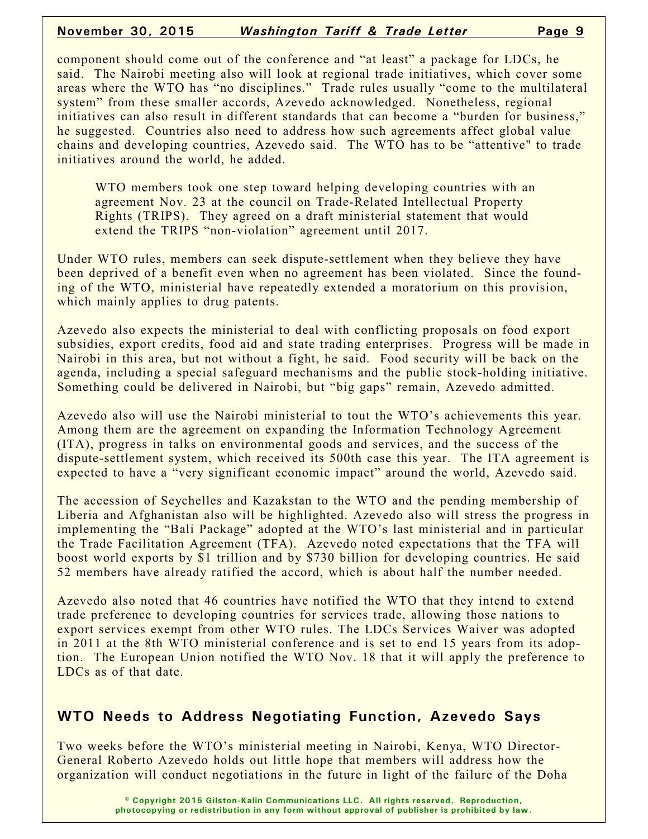### **November 30, 2015** *Washington Tariff & Trade Letter* **Page 9**

component should come out of the conference and "at least" a package for LDCs, he said. The Nairobi meeting also will look at regional trade initiatives, which cover some areas where the WTO has "no disciplines." Trade rules usually "come to the multilateral system" from these smaller accords, Azevedo acknowledged. Nonetheless, regional initiatives can also result in different standards that can become a "burden for business," he suggested. Countries also need to address how such agreements affect global value chains and developing countries, Azevedo said. The WTO has to be "attentive" to trade initiatives around the world, he added.

WTO members took one step toward helping developing countries with an agreement Nov. 23 at the council on Trade-Related Intellectual Property Rights (TRIPS). They agreed on a draft ministerial statement that would extend the TRIPS "non-violation" agreement until 2017.

Under WTO rules, members can seek dispute-settlement when they believe they have been deprived of a benefit even when no agreement has been violated. Since the founding of the WTO, ministerial have repeatedly extended a moratorium on this provision, which mainly applies to drug patents.

Azevedo also expects the ministerial to deal with conflicting proposals on food export subsidies, export credits, food aid and state trading enterprises. Progress will be made in Nairobi in this area, but not without a fight, he said. Food security will be back on the agenda, including a special safeguard mechanisms and the public stock-holding initiative. Something could be delivered in Nairobi, but "big gaps" remain, Azevedo admitted.

Azevedo also will use the Nairobi ministerial to tout the WTO's achievements this year. Among them are the agreement on expanding the Information Technology Agreement (ITA), progress in talks on environmental goods and services, and the success of the dispute-settlement system, which received its 500th case this year. The ITA agreement is expected to have a "very significant economic impact" around the world, Azevedo said.

The accession of Seychelles and Kazakstan to the WTO and the pending membership of Liberia and Afghanistan also will be highlighted. Azevedo also will stress the progress in implementing the "Bali Package" adopted at the WTO's last ministerial and in particular the Trade Facilitation Agreement (TFA). Azevedo noted expectations that the TFA will boost world exports by \$1 trillion and by \$730 billion for developing countries. He said 52 members have already ratified the accord, which is about half the number needed.

Azevedo also noted that 46 countries have notified the WTO that they intend to extend trade preference to developing countries for services trade, allowing those nations to export services exempt from other WTO rules. The LDCs Services Waiver was adopted in 2011 at the 8th WTO ministerial conference and is set to end 15 years from its adoption. The European Union notified the WTO Nov. 18 that it will apply the preference to LDCs as of that date.

## **WTO Needs to Address Negotiating Function, Azevedo Says**

Two weeks before the WTO's ministerial meeting in Nairobi, Kenya, WTO Director-General Roberto Azevedo holds out little hope that members will address how the organization will conduct negotiations in the future in light of the failure of the Doha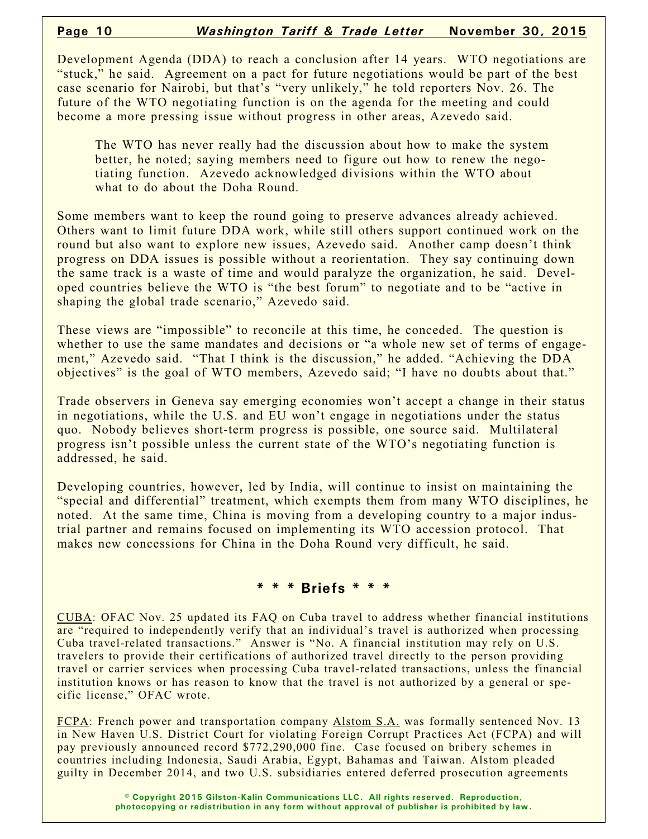Development Agenda (DDA) to reach a conclusion after 14 years. WTO negotiations are "stuck," he said. Agreement on a pact for future negotiations would be part of the best case scenario for Nairobi, but that's "very unlikely," he told reporters Nov. 26. The future of the WTO negotiating function is on the agenda for the meeting and could become a more pressing issue without progress in other areas, Azevedo said.

The WTO has never really had the discussion about how to make the system better, he noted; saying members need to figure out how to renew the negotiating function. Azevedo acknowledged divisions within the WTO about what to do about the Doha Round.

Some members want to keep the round going to preserve advances already achieved. Others want to limit future DDA work, while still others support continued work on the round but also want to explore new issues, Azevedo said. Another camp doesn't think progress on DDA issues is possible without a reorientation. They say continuing down the same track is a waste of time and would paralyze the organization, he said. Developed countries believe the WTO is "the best forum" to negotiate and to be "active in shaping the global trade scenario," Azevedo said.

These views are "impossible" to reconcile at this time, he conceded. The question is whether to use the same mandates and decisions or "a whole new set of terms of engagement," Azevedo said. "That I think is the discussion," he added. "Achieving the DDA objectives" is the goal of WTO members, Azevedo said; "I have no doubts about that."

Trade observers in Geneva say emerging economies won't accept a change in their status in negotiations, while the U.S. and EU won't engage in negotiations under the status quo. Nobody believes short-term progress is possible, one source said. Multilateral progress isn't possible unless the current state of the WTO's negotiating function is addressed, he said.

Developing countries, however, led by India, will continue to insist on maintaining the "special and differential" treatment, which exempts them from many WTO disciplines, he noted. At the same time, China is moving from a developing country to a major industrial partner and remains focused on implementing its WTO accession protocol. That makes new concessions for China in the Doha Round very difficult, he said.

#### **\* \* \* Briefs \* \* \***

CUBA: OFAC Nov. 25 updated its FAQ on Cuba travel to address whether financial institutions are "required to independently verify that an individual's travel is authorized when processing Cuba travel-related transactions." Answer is "No. A financial institution may rely on U.S. travelers to provide their certifications of authorized travel directly to the person providing travel or carrier services when processing Cuba travel-related transactions, unless the financial institution knows or has reason to know that the travel is not authorized by a general or specific license," OFAC wrote.

FCPA: French power and transportation company Alstom S.A. was formally sentenced Nov. 13 in New Haven U.S. District Court for violating Foreign Corrupt Practices Act (FCPA) and will pay previously announced record \$772,290,000 fine. Case focused on bribery schemes in countries including Indonesia, Saudi Arabia, Egypt, Bahamas and Taiwan. Alstom pleaded guilty in December 2014, and two U.S. subsidiaries entered deferred prosecution agreements